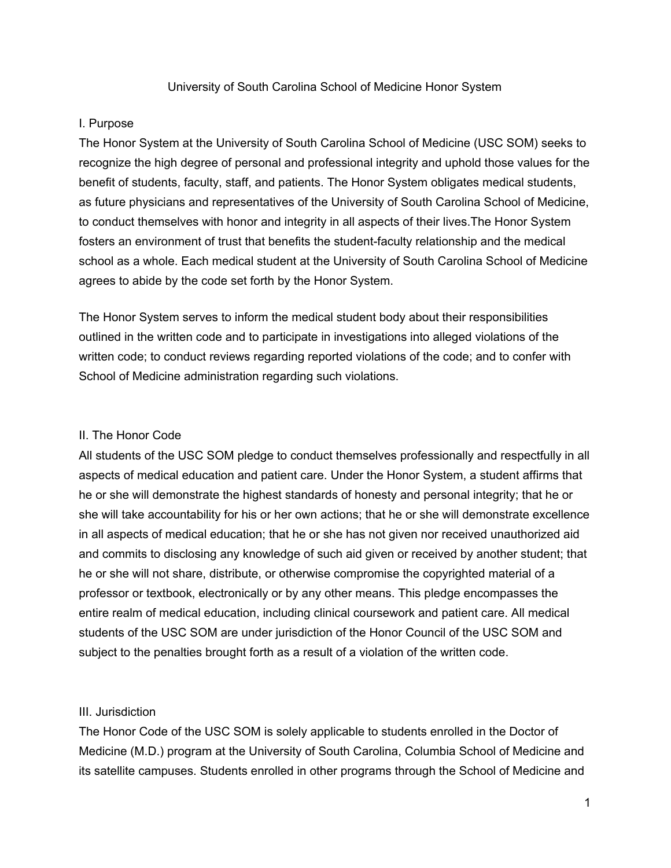#### I. Purpose

The Honor System at the University of South Carolina School of Medicine (USC SOM) seeks to recognize the high degree of personal and professional integrity and uphold those values for the benefit of students, faculty, staff, and patients. The Honor System obligates medical students, as future physicians and representatives of the University of South Carolina School of Medicine, to conduct themselves with honor and integrity in all aspects of their lives.The Honor System fosters an environment of trust that benefits the student-faculty relationship and the medical school as a whole. Each medical student at the University of South Carolina School of Medicine agrees to abide by the code set forth by the Honor System.

The Honor System serves to inform the medical student body about their responsibilities outlined in the written code and to participate in investigations into alleged violations of the written code; to conduct reviews regarding reported violations of the code; and to confer with School of Medicine administration regarding such violations.

#### II. The Honor Code

All students of the USC SOM pledge to conduct themselves professionally and respectfully in all aspects of medical education and patient care. Under the Honor System, a student affirms that he or she will demonstrate the highest standards of honesty and personal integrity; that he or she will take accountability for his or her own actions; that he or she will demonstrate excellence in all aspects of medical education; that he or she has not given nor received unauthorized aid and commits to disclosing any knowledge of such aid given or received by another student; that he or she will not share, distribute, or otherwise compromise the copyrighted material of a professor or textbook, electronically or by any other means. This pledge encompasses the entire realm of medical education, including clinical coursework and patient care. All medical students of the USC SOM are under jurisdiction of the Honor Council of the USC SOM and subject to the penalties brought forth as a result of a violation of the written code.

#### III. Jurisdiction

The Honor Code of the USC SOM is solely applicable to students enrolled in the Doctor of Medicine (M.D.) program at the University of South Carolina, Columbia School of Medicine and its satellite campuses. Students enrolled in other programs through the School of Medicine and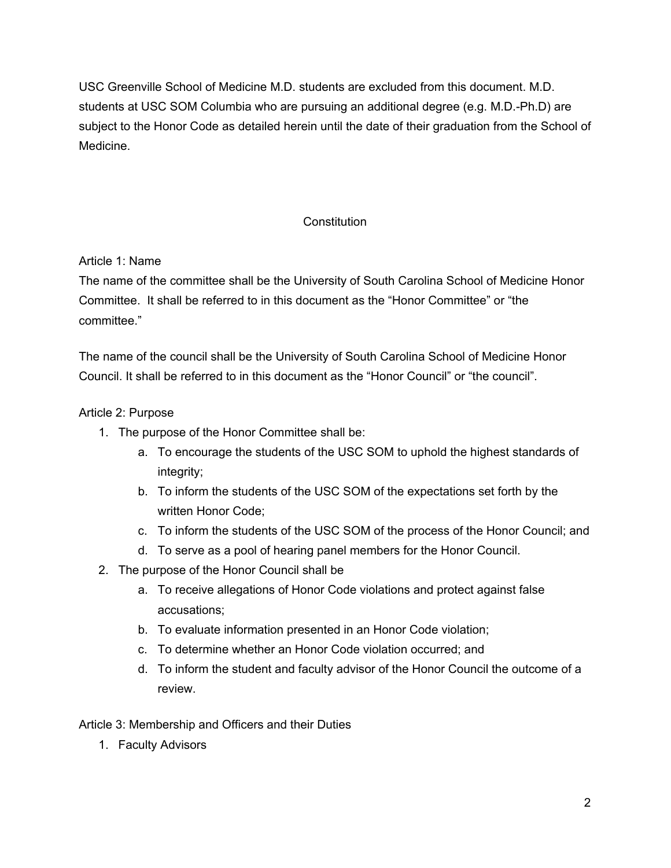USC Greenville School of Medicine M.D. students are excluded from this document. M.D. students at USC SOM Columbia who are pursuing an additional degree (e.g. M.D.-Ph.D) are subject to the Honor Code as detailed herein until the date of their graduation from the School of Medicine.

# **Constitution**

# Article 1: Name

The name of the committee shall be the University of South Carolina School of Medicine Honor Committee. It shall be referred to in this document as the "Honor Committee" or "the committee."

The name of the council shall be the University of South Carolina School of Medicine Honor Council. It shall be referred to in this document as the "Honor Council" or "the council".

# Article 2: Purpose

- 1. The purpose of the Honor Committee shall be:
	- a. To encourage the students of the USC SOM to uphold the highest standards of integrity;
	- b. To inform the students of the USC SOM of the expectations set forth by the written Honor Code;
	- c. To inform the students of the USC SOM of the process of the Honor Council; and
	- d. To serve as a pool of hearing panel members for the Honor Council.
- 2. The purpose of the Honor Council shall be
	- a. To receive allegations of Honor Code violations and protect against false accusations;
	- b. To evaluate information presented in an Honor Code violation;
	- c. To determine whether an Honor Code violation occurred; and
	- d. To inform the student and faculty advisor of the Honor Council the outcome of a review.

## Article 3: Membership and Officers and their Duties

1. Faculty Advisors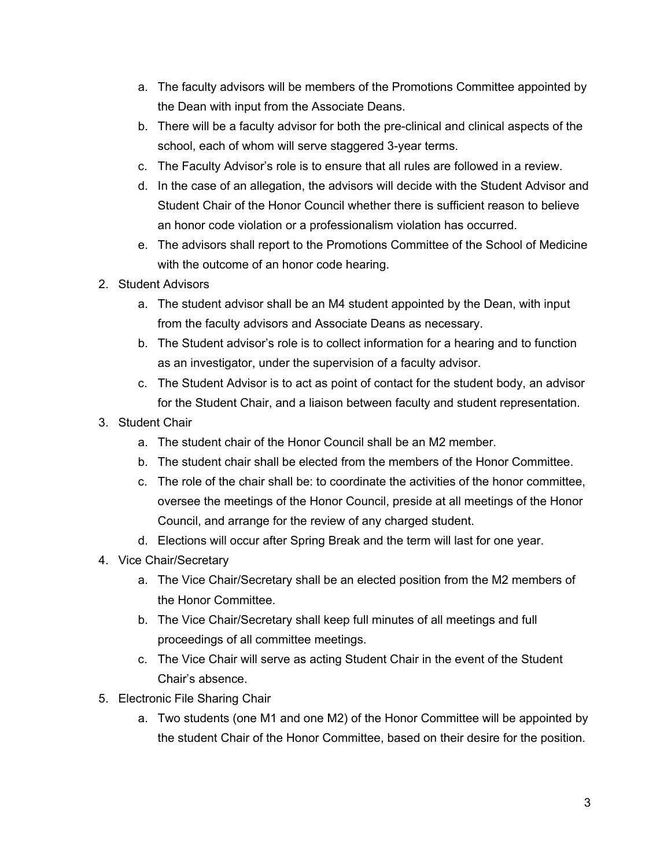- a. The faculty advisors will be members of the Promotions Committee appointed by the Dean with input from the Associate Deans.
- b. There will be a faculty advisor for both the pre-clinical and clinical aspects of the school, each of whom will serve staggered 3-year terms.
- c. The Faculty Advisor's role is to ensure that all rules are followed in a review.
- d. In the case of an allegation, the advisors will decide with the Student Advisor and Student Chair of the Honor Council whether there is sufficient reason to believe an honor code violation or a professionalism violation has occurred.
- e. The advisors shall report to the Promotions Committee of the School of Medicine with the outcome of an honor code hearing.
- 2. Student Advisors
	- a. The student advisor shall be an M4 student appointed by the Dean, with input from the faculty advisors and Associate Deans as necessary.
	- b. The Student advisor's role is to collect information for a hearing and to function as an investigator, under the supervision of a faculty advisor.
	- c. The Student Advisor is to act as point of contact for the student body, an advisor for the Student Chair, and a liaison between faculty and student representation.
- 3. Student Chair
	- a. The student chair of the Honor Council shall be an M2 member.
	- b. The student chair shall be elected from the members of the Honor Committee.
	- c. The role of the chair shall be: to coordinate the activities of the honor committee, oversee the meetings of the Honor Council, preside at all meetings of the Honor Council, and arrange for the review of any charged student.
	- d. Elections will occur after Spring Break and the term will last for one year.
- 4. Vice Chair/Secretary
	- a. The Vice Chair/Secretary shall be an elected position from the M2 members of the Honor Committee.
	- b. The Vice Chair/Secretary shall keep full minutes of all meetings and full proceedings of all committee meetings.
	- c. The Vice Chair will serve as acting Student Chair in the event of the Student Chair's absence.
- 5. Electronic File Sharing Chair
	- a. Two students (one M1 and one M2) of the Honor Committee will be appointed by the student Chair of the Honor Committee, based on their desire for the position.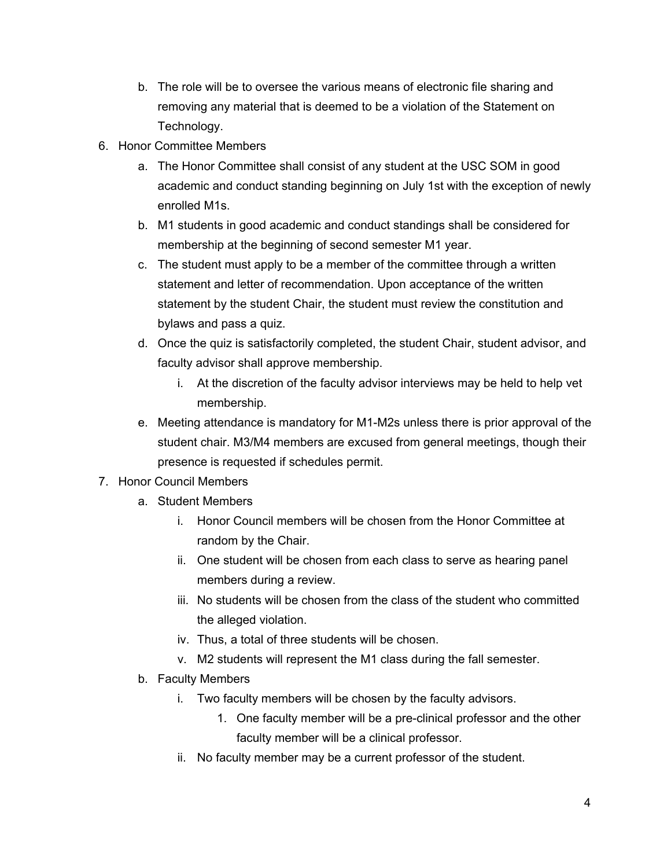- b. The role will be to oversee the various means of electronic file sharing and removing any material that is deemed to be a violation of the Statement on Technology.
- 6. Honor Committee Members
	- a. The Honor Committee shall consist of any student at the USC SOM in good academic and conduct standing beginning on July 1st with the exception of newly enrolled M1s.
	- b. M1 students in good academic and conduct standings shall be considered for membership at the beginning of second semester M1 year.
	- c. The student must apply to be a member of the committee through a written statement and letter of recommendation. Upon acceptance of the written statement by the student Chair, the student must review the constitution and bylaws and pass a quiz.
	- d. Once the quiz is satisfactorily completed, the student Chair, student advisor, and faculty advisor shall approve membership.
		- i. At the discretion of the faculty advisor interviews may be held to help vet membership.
	- e. Meeting attendance is mandatory for M1-M2s unless there is prior approval of the student chair. M3/M4 members are excused from general meetings, though their presence is requested if schedules permit.
- 7. Honor Council Members
	- a. Student Members
		- i. Honor Council members will be chosen from the Honor Committee at random by the Chair.
		- ii. One student will be chosen from each class to serve as hearing panel members during a review.
		- iii. No students will be chosen from the class of the student who committed the alleged violation.
		- iv. Thus, a total of three students will be chosen.
		- v. M2 students will represent the M1 class during the fall semester.
	- b. Faculty Members
		- i. Two faculty members will be chosen by the faculty advisors.
			- 1. One faculty member will be a pre-clinical professor and the other faculty member will be a clinical professor.
		- ii. No faculty member may be a current professor of the student.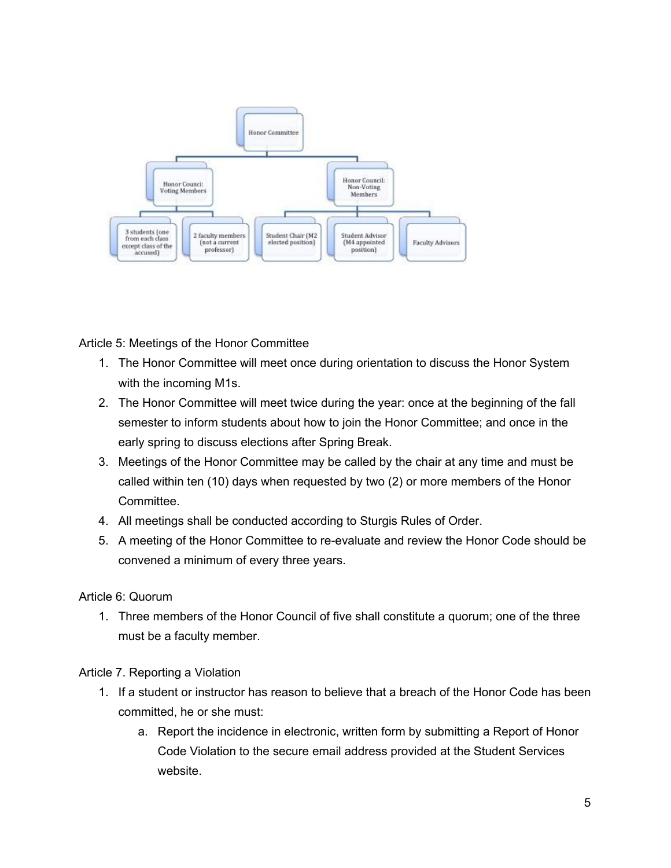

Article 5: Meetings of the Honor Committee

- 1. The Honor Committee will meet once during orientation to discuss the Honor System with the incoming M1s.
- 2. The Honor Committee will meet twice during the year: once at the beginning of the fall semester to inform students about how to join the Honor Committee; and once in the early spring to discuss elections after Spring Break.
- 3. Meetings of the Honor Committee may be called by the chair at any time and must be called within ten (10) days when requested by two (2) or more members of the Honor Committee.
- 4. All meetings shall be conducted according to Sturgis Rules of Order.
- 5. A meeting of the Honor Committee to reevaluate and review the Honor Code should be convened a minimum of every three years.

## Article 6: Quorum

1. Three members of the Honor Council of five shall constitute a quorum; one of the three must be a faculty member.

Article 7. Reporting a Violation

- 1. If a student or instructor has reason to believe that a breach of the Honor Code has been committed, he or she must:
	- a. Report the incidence in electronic, written form by submitting a Report of Honor Code Violation to the secure email address provided at the Student Services website.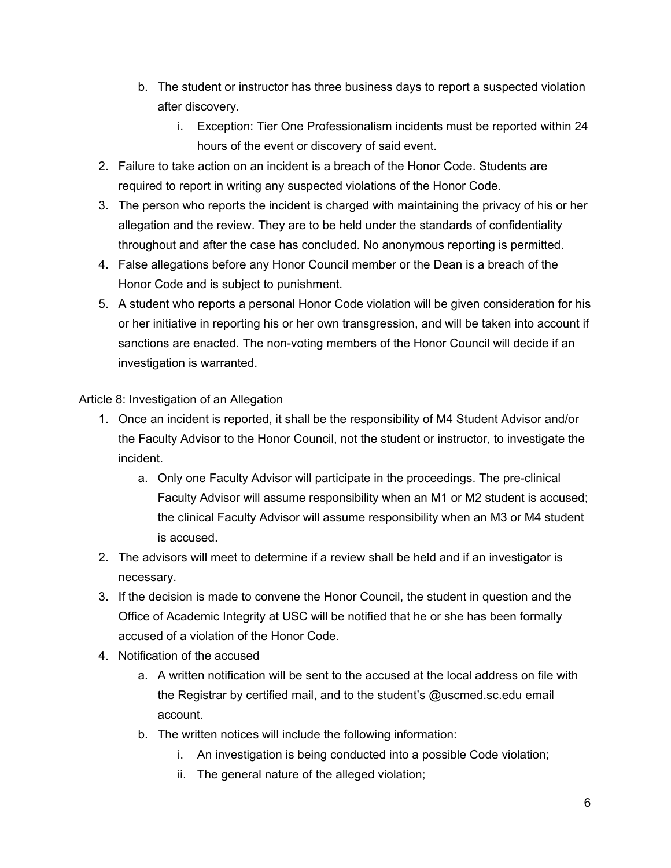- b. The student or instructor has three business days to report a suspected violation after discovery.
	- i. Exception: Tier One Professionalism incidents must be reported within 24 hours of the event or discovery of said event.
- 2. Failure to take action on an incident is a breach of the Honor Code. Students are required to report in writing any suspected violations of the Honor Code.
- 3. The person who reports the incident is charged with maintaining the privacy of his or her allegation and the review. They are to be held under the standards of confidentiality throughout and after the case has concluded. No anonymous reporting is permitted.
- 4. False allegations before any Honor Council member or the Dean is a breach of the Honor Code and is subject to punishment.
- 5. A student who reports a personal Honor Code violation will be given consideration for his or her initiative in reporting his or her own transgression, and will be taken into account if sanctions are enacted. The non-voting members of the Honor Council will decide if an investigation is warranted.

Article 8: Investigation of an Allegation

- 1. Once an incident is reported, it shall be the responsibility of M4 Student Advisor and/or the Faculty Advisor to the Honor Council, not the student or instructor, to investigate the incident.
	- a. Only one Faculty Advisor will participate in the proceedings. The pre-clinical Faculty Advisor will assume responsibility when an M1 or M2 student is accused; the clinical Faculty Advisor will assume responsibility when an M3 or M4 student is accused.
- 2. The advisors will meet to determine if a review shall be held and if an investigator is necessary.
- 3. If the decision is made to convene the Honor Council, the student in question and the Office of Academic Integrity at USC will be notified that he or she has been formally accused of a violation of the Honor Code.
- 4. Notification of the accused
	- a. A written notification will be sent to the accused at the local address on file with the Registrar by certified mail, and to the student's @uscmed.sc.edu email account.
	- b. The written notices will include the following information:
		- i. An investigation is being conducted into a possible Code violation;
		- ii. The general nature of the alleged violation;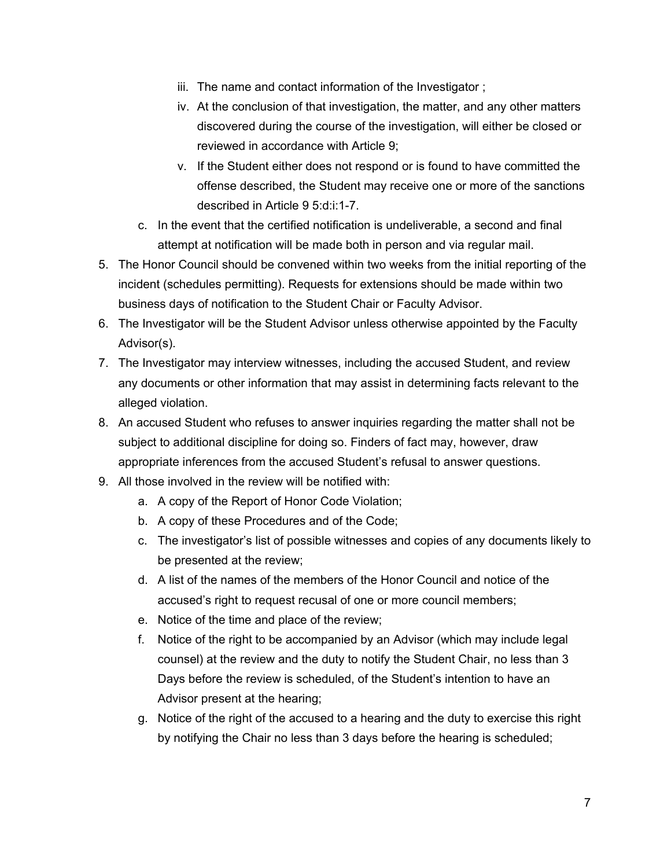- iii. The name and contact information of the Investigator ;
- iv. At the conclusion of that investigation, the matter, and any other matters discovered during the course of the investigation, will either be closed or reviewed in accordance with Article 9;
- v. If the Student either does not respond or is found to have committed the offense described, the Student may receive one or more of the sanctions described in Article 9 5:d:i:1-7.
- c. In the event that the certified notification is undeliverable, a second and final attempt at notification will be made both in person and via regular mail.
- 5. The Honor Council should be convened within two weeks from the initial reporting of the incident (schedules permitting). Requests for extensions should be made within two business days of notification to the Student Chair or Faculty Advisor.
- 6. The Investigator will be the Student Advisor unless otherwise appointed by the Faculty Advisor(s).
- 7. The Investigator may interview witnesses, including the accused Student, and review any documents or other information that may assist in determining facts relevant to the alleged violation.
- 8. An accused Student who refuses to answer inquiries regarding the matter shall not be subject to additional discipline for doing so. Finders of fact may, however, draw appropriate inferences from the accused Student's refusal to answer questions.
- 9. All those involved in the review will be notified with:
	- a. A copy of the Report of Honor Code Violation;
	- b. A copy of these Procedures and of the Code;
	- c. The investigator's list of possible witnesses and copies of any documents likely to be presented at the review;
	- d. A list of the names of the members of the Honor Council and notice of the accused's right to request recusal of one or more council members;
	- e. Notice of the time and place of the review;
	- f. Notice of the right to be accompanied by an Advisor (which may include legal counsel) at the review and the duty to notify the Student Chair, no less than 3 Days before the review is scheduled, of the Student's intention to have an Advisor present at the hearing;
	- g. Notice of the right of the accused to a hearing and the duty to exercise this right by notifying the Chair no less than 3 days before the hearing is scheduled;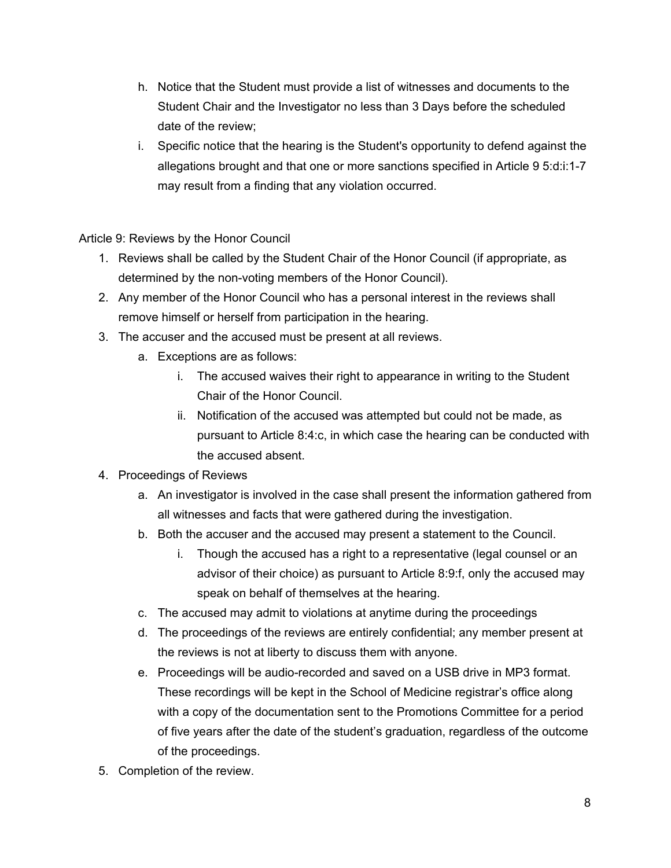- h. Notice that the Student must provide a list of witnesses and documents to the Student Chair and the Investigator no less than 3 Days before the scheduled date of the review;
- i. Specific notice that the hearing is the Student's opportunity to defend against the allegations brought and that one or more sanctions specified in Article 9 5:d:i:1-7 may result from a finding that any violation occurred.

Article 9: Reviews by the Honor Council

- 1. Reviews shall be called by the Student Chair of the Honor Council (if appropriate, as determined by the non-voting members of the Honor Council).
- 2. Any member of the Honor Council who has a personal interest in the reviews shall remove himself or herself from participation in the hearing.
- 3. The accuser and the accused must be present at all reviews.
	- a. Exceptions are as follows:
		- i. The accused waives their right to appearance in writing to the Student Chair of the Honor Council.
		- ii. Notification of the accused was attempted but could not be made, as pursuant to Article 8:4:c, in which case the hearing can be conducted with the accused absent.
- 4. Proceedings of Reviews
	- a. An investigator is involved in the case shall present the information gathered from all witnesses and facts that were gathered during the investigation.
	- b. Both the accuser and the accused may present a statement to the Council.
		- i. Though the accused has a right to a representative (legal counsel or an advisor of their choice) as pursuant to Article 8:9:f, only the accused may speak on behalf of themselves at the hearing.
	- c. The accused may admit to violations at anytime during the proceedings
	- d. The proceedings of the reviews are entirely confidential; any member present at the reviews is not at liberty to discuss them with anyone.
	- e. Proceedings will be audio-recorded and saved on a USB drive in MP3 format. These recordings will be kept in the School of Medicine registrar's office along with a copy of the documentation sent to the Promotions Committee for a period of five years after the date of the student's graduation, regardless of the outcome of the proceedings.
- 5. Completion of the review.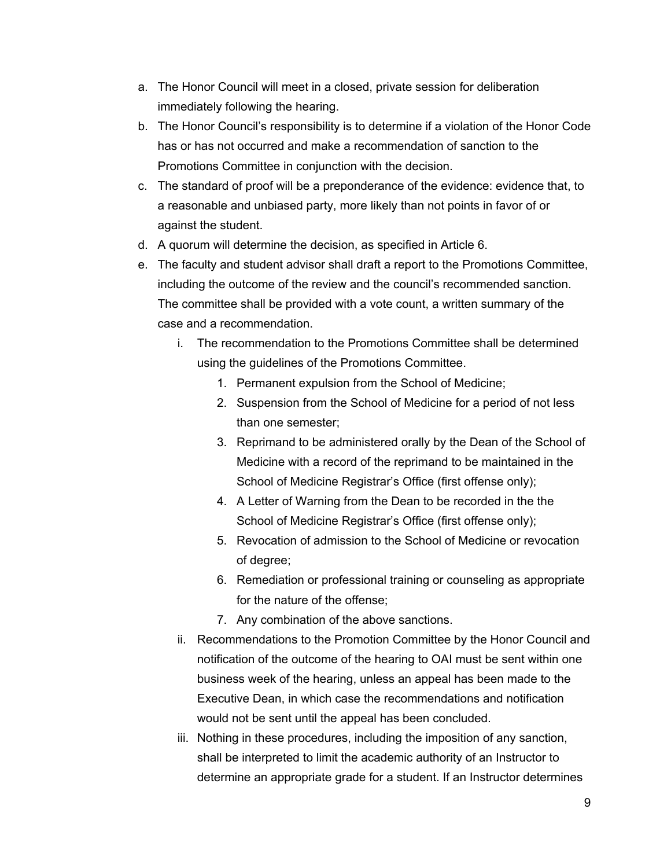- a. The Honor Council will meet in a closed, private session for deliberation immediately following the hearing.
- b. The Honor Council's responsibility is to determine if a violation of the Honor Code has or has not occurred and make a recommendation of sanction to the Promotions Committee in conjunction with the decision.
- c. The standard of proof will be a preponderance of the evidence: evidence that, to a reasonable and unbiased party, more likely than not points in favor of or against the student.
- d. A quorum will determine the decision, as specified in Article 6.
- e. The faculty and student advisor shall draft a report to the Promotions Committee, including the outcome of the review and the council's recommended sanction. The committee shall be provided with a vote count, a written summary of the case and a recommendation.
	- i. The recommendation to the Promotions Committee shall be determined using the guidelines of the Promotions Committee.
		- 1. Permanent expulsion from the School of Medicine;
		- 2. Suspension from the School of Medicine for a period of not less than one semester;
		- 3. Reprimand to be administered orally by the Dean of the School of Medicine with a record of the reprimand to be maintained in the School of Medicine Registrar's Office (first offense only);
		- 4. A Letter of Warning from the Dean to be recorded in the the School of Medicine Registrar's Office (first offense only);
		- 5. Revocation of admission to the School of Medicine or revocation of degree;
		- 6. Remediation or professional training or counseling as appropriate for the nature of the offense;
		- 7. Any combination of the above sanctions.
	- ii. Recommendations to the Promotion Committee by the Honor Council and notification of the outcome of the hearing to OAI must be sent within one business week of the hearing, unless an appeal has been made to the Executive Dean, in which case the recommendations and notification would not be sent until the appeal has been concluded.
	- iii. Nothing in these procedures, including the imposition of any sanction, shall be interpreted to limit the academic authority of an Instructor to determine an appropriate grade for a student. If an Instructor determines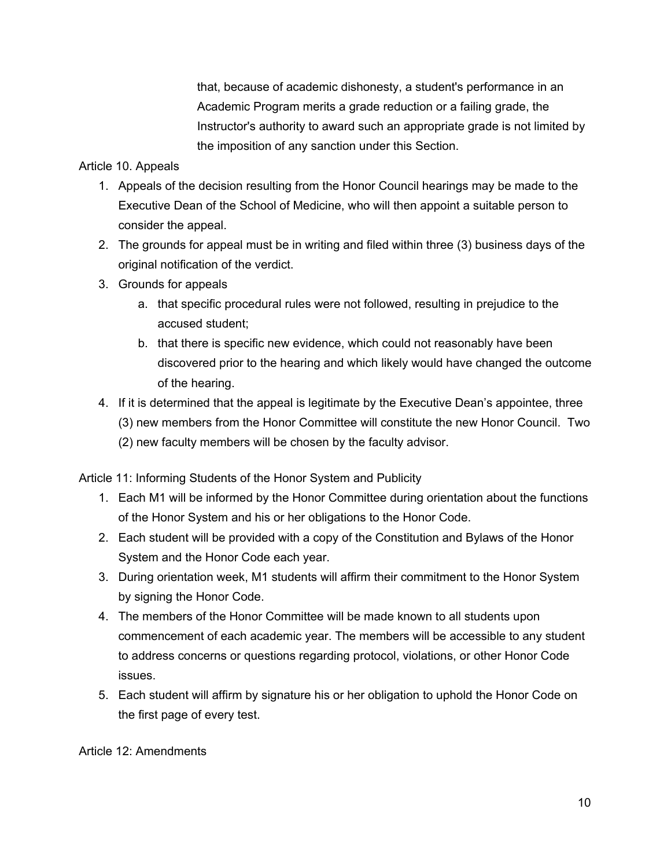that, because of academic dishonesty, a student's performance in an Academic Program merits a grade reduction or a failing grade, the Instructor's authority to award such an appropriate grade is not limited by the imposition of any sanction under this Section.

## Article 10. Appeals

- 1. Appeals of the decision resulting from the Honor Council hearings may be made to the Executive Dean of the School of Medicine, who will then appoint a suitable person to consider the appeal.
- 2. The grounds for appeal must be in writing and filed within three (3) business days of the original notification of the verdict.
- 3. Grounds for appeals
	- a. that specific procedural rules were not followed, resulting in prejudice to the accused student;
	- b. that there is specific new evidence, which could not reasonably have been discovered prior to the hearing and which likely would have changed the outcome of the hearing.
- 4. If it is determined that the appeal is legitimate by the Executive Dean's appointee, three (3) new members from the Honor Committee will constitute the new Honor Council. Two (2) new faculty members will be chosen by the faculty advisor.

Article 11: Informing Students of the Honor System and Publicity

- 1. Each M1 will be informed by the Honor Committee during orientation about the functions of the Honor System and his or her obligations to the Honor Code.
- 2. Each student will be provided with a copy of the Constitution and Bylaws of the Honor System and the Honor Code each year.
- 3. During orientation week, M1 students will affirm their commitment to the Honor System by signing the Honor Code.
- 4. The members of the Honor Committee will be made known to all students upon commencement of each academic year. The members will be accessible to any student to address concerns or questions regarding protocol, violations, or other Honor Code issues.
- 5. Each student will affirm by signature his or her obligation to uphold the Honor Code on the first page of every test.

## Article 12: Amendments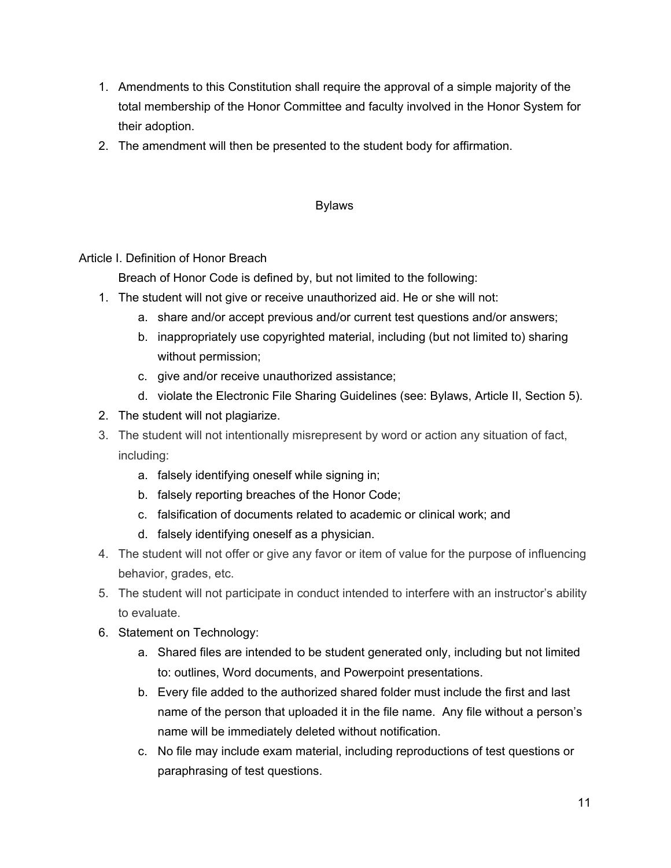- 1. Amendments to this Constitution shall require the approval of a simple majority of the total membership of the Honor Committee and faculty involved in the Honor System for their adoption.
- 2. The amendment will then be presented to the student body for affirmation.

## Bylaws

Article I. Definition of Honor Breach

Breach of Honor Code is defined by, but not limited to the following:

- 1. The student will not give or receive unauthorized aid. He or she will not:
	- a. share and/or accept previous and/or current test questions and/or answers;
	- b. inappropriately use copyrighted material, including (but not limited to) sharing without permission;
	- c. give and/or receive unauthorized assistance;
	- d. violate the Electronic File Sharing Guidelines (see: Bylaws, Article II, Section 5).
- 2. The student will not plagiarize.
- 3. The student will not intentionally misrepresent by word or action any situation of fact, including:
	- a. falsely identifying oneself while signing in;
	- b. falsely reporting breaches of the Honor Code;
	- c. falsification of documents related to academic or clinical work; and
	- d. falsely identifying oneself as a physician.
- 4. The student will not offer or give any favor or item of value for the purpose of influencing behavior, grades, etc.
- 5. The student will not participate in conduct intended to interfere with an instructor's ability to evaluate.
- 6. Statement on Technology:
	- a. Shared files are intended to be student generated only, including but not limited to: outlines, Word documents, and Powerpoint presentations.
	- b. Every file added to the authorized shared folder must include the first and last name of the person that uploaded it in the file name. Any file without a person's name will be immediately deleted without notification.
	- c. No file may include exam material, including reproductions of test questions or paraphrasing of test questions.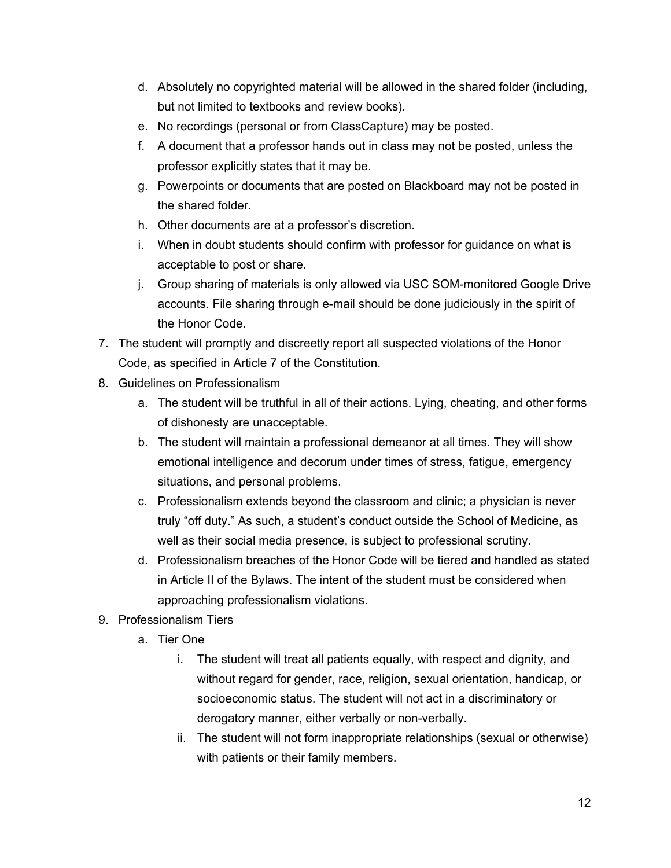- d. Absolutely no copyrighted material will be allowed in the shared folder (including, but not limited to textbooks and review books).
- e. No recordings (personal or from ClassCapture) may be posted.
- f. A document that a professor hands out in class may not be posted, unless the professor explicitly states that it may be.
- g. Powerpoints or documents that are posted on Blackboard may not be posted in the shared folder.
- h. Other documents are at a professor's discretion.
- i. When in doubt students should confirm with professor for guidance on what is acceptable to post or share.
- j. Group sharing of materials is only allowed via USC SOM-monitored Google Drive accounts. File sharing through e-mail should be done judiciously in the spirit of the Honor Code.
- 7. The student will promptly and discreetly report all suspected violations of the Honor Code, as specified in Article 7 of the Constitution.
- 8. Guidelines on Professionalism
	- a. The student will be truthful in all of their actions. Lying, cheating, and other forms of dishonesty are unacceptable.
	- b. The student will maintain a professional demeanor at all times. They will show emotional intelligence and decorum under times of stress, fatigue, emergency situations, and personal problems.
	- c. Professionalism extends beyond the classroom and clinic; a physician is never truly "off duty." As such, a student's conduct outside the School of Medicine, as well as their social media presence, is subject to professional scrutiny.
	- d. Professionalism breaches of the Honor Code will be tiered and handled as stated in Article II of the Bylaws. The intent of the student must be considered when approaching professionalism violations.
- 9. Professionalism Tiers
	- a. Tier One
		- i. The student will treat all patients equally, with respect and dignity, and without regard for gender, race, religion, sexual orientation, handicap, or socioeconomic status. The student will not act in a discriminatory or derogatory manner, either verbally or non-verbally.
		- ii. The student will not form inappropriate relationships (sexual or otherwise) with patients or their family members.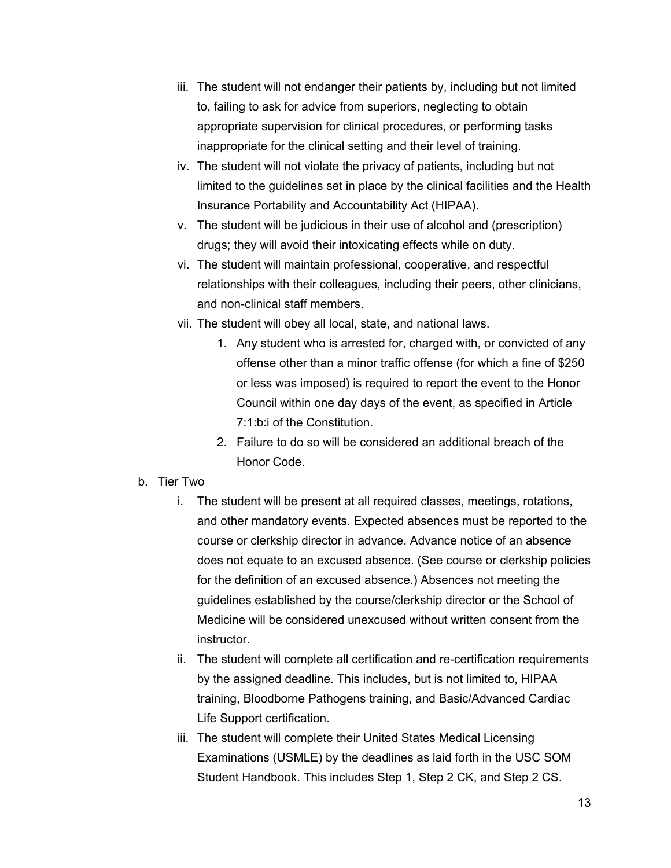- iii. The student will not endanger their patients by, including but not limited to, failing to ask for advice from superiors, neglecting to obtain appropriate supervision for clinical procedures, or performing tasks inappropriate for the clinical setting and their level of training.
- iv. The student will not violate the privacy of patients, including but not limited to the guidelines set in place by the clinical facilities and the Health Insurance Portability and Accountability Act (HIPAA).
- v. The student will be judicious in their use of alcohol and (prescription) drugs; they will avoid their intoxicating effects while on duty.
- vi. The student will maintain professional, cooperative, and respectful relationships with their colleagues, including their peers, other clinicians, and non-clinical staff members.
- vii. The student will obey all local, state, and national laws.
	- 1. Any student who is arrested for, charged with, or convicted of any offense other than a minor traffic offense (for which a fine of \$250 or less was imposed) is required to report the event to the Honor Council within one day days of the event, as specified in Article 7:1:b:i of the Constitution.
	- 2. Failure to do so will be considered an additional breach of the Honor Code.

# b. Tier Two

- i. The student will be present at all required classes, meetings, rotations, and other mandatory events. Expected absences must be reported to the course or clerkship director in advance. Advance notice of an absence does not equate to an excused absence. (See course or clerkship policies for the definition of an excused absence.) Absences not meeting the guidelines established by the course/clerkship director or the School of Medicine will be considered unexcused without written consent from the instructor.
- ii. The student will complete all certification and re-certification requirements by the assigned deadline. This includes, but is not limited to, HIPAA training, Bloodborne Pathogens training, and Basic/Advanced Cardiac Life Support certification.
- iii. The student will complete their United States Medical Licensing Examinations (USMLE) by the deadlines as laid forth in the USC SOM Student Handbook. This includes Step 1, Step 2 CK, and Step 2 CS.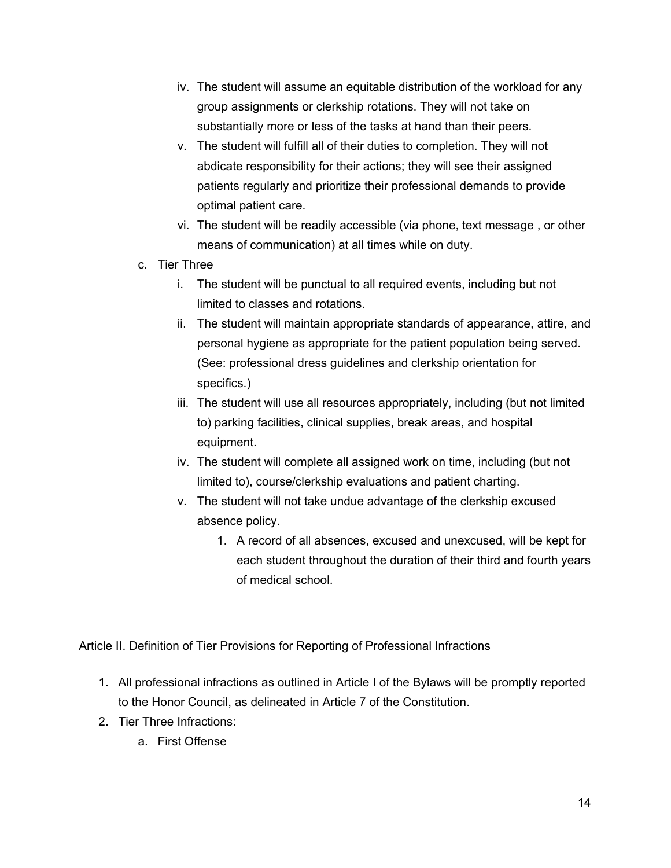- iv. The student will assume an equitable distribution of the workload for any group assignments or clerkship rotations. They will not take on substantially more or less of the tasks at hand than their peers.
- v. The student will fulfill all of their duties to completion. They will not abdicate responsibility for their actions; they will see their assigned patients regularly and prioritize their professional demands to provide optimal patient care.
- vi. The student will be readily accessible (via phone, text message , or other means of communication) at all times while on duty.
- c. Tier Three
	- i. The student will be punctual to all required events, including but not limited to classes and rotations.
	- ii. The student will maintain appropriate standards of appearance, attire, and personal hygiene as appropriate for the patient population being served. (See: professional dress guidelines and clerkship orientation for specifics.)
	- iii. The student will use all resources appropriately, including (but not limited to) parking facilities, clinical supplies, break areas, and hospital equipment.
	- iv. The student will complete all assigned work on time, including (but not limited to), course/clerkship evaluations and patient charting.
	- v. The student will not take undue advantage of the clerkship excused absence policy.
		- 1. A record of all absences, excused and unexcused, will be kept for each student throughout the duration of their third and fourth years of medical school.

Article II. Definition of Tier Provisions for Reporting of Professional Infractions

- 1. All professional infractions as outlined in Article I of the Bylaws will be promptly reported to the Honor Council, as delineated in Article 7 of the Constitution.
- 2. Tier Three Infractions:
	- a. First Offense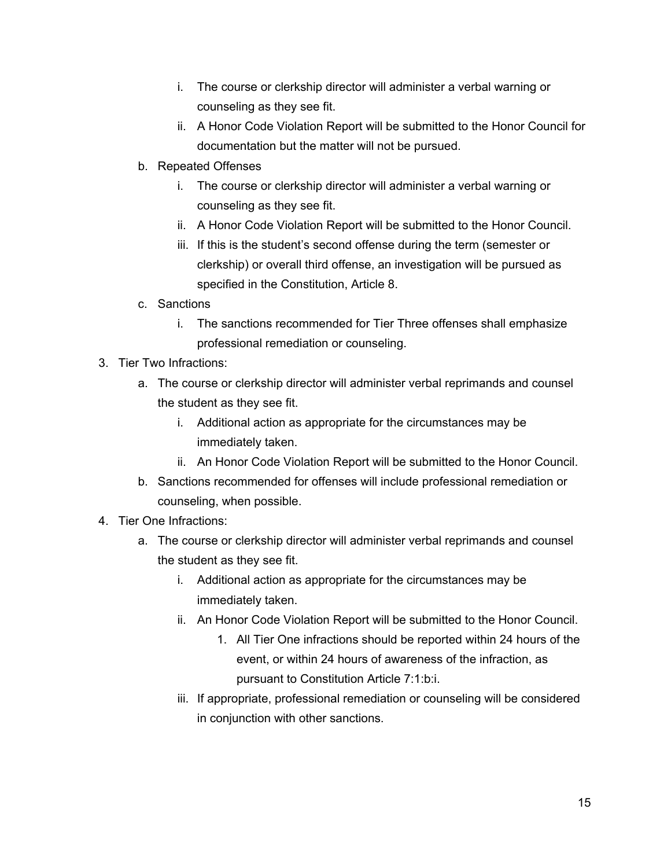- i. The course or clerkship director will administer a verbal warning or counseling as they see fit.
- ii. A Honor Code Violation Report will be submitted to the Honor Council for documentation but the matter will not be pursued.
- b. Repeated Offenses
	- i. The course or clerkship director will administer a verbal warning or counseling as they see fit.
	- ii. A Honor Code Violation Report will be submitted to the Honor Council.
	- iii. If this is the student's second offense during the term (semester or clerkship) or overall third offense, an investigation will be pursued as specified in the Constitution, Article 8.
- c. Sanctions
	- i. The sanctions recommended for Tier Three offenses shall emphasize professional remediation or counseling.
- 3. Tier Two Infractions:
	- a. The course or clerkship director will administer verbal reprimands and counsel the student as they see fit.
		- i. Additional action as appropriate for the circumstances may be immediately taken.
		- ii. An Honor Code Violation Report will be submitted to the Honor Council.
	- b. Sanctions recommended for offenses will include professional remediation or counseling, when possible.
- 4. Tier One Infractions:
	- a. The course or clerkship director will administer verbal reprimands and counsel the student as they see fit.
		- i. Additional action as appropriate for the circumstances may be immediately taken.
		- ii. An Honor Code Violation Report will be submitted to the Honor Council.
			- 1. All Tier One infractions should be reported within 24 hours of the event, or within 24 hours of awareness of the infraction, as pursuant to Constitution Article 7:1:b:i.
		- iii. If appropriate, professional remediation or counseling will be considered in conjunction with other sanctions.